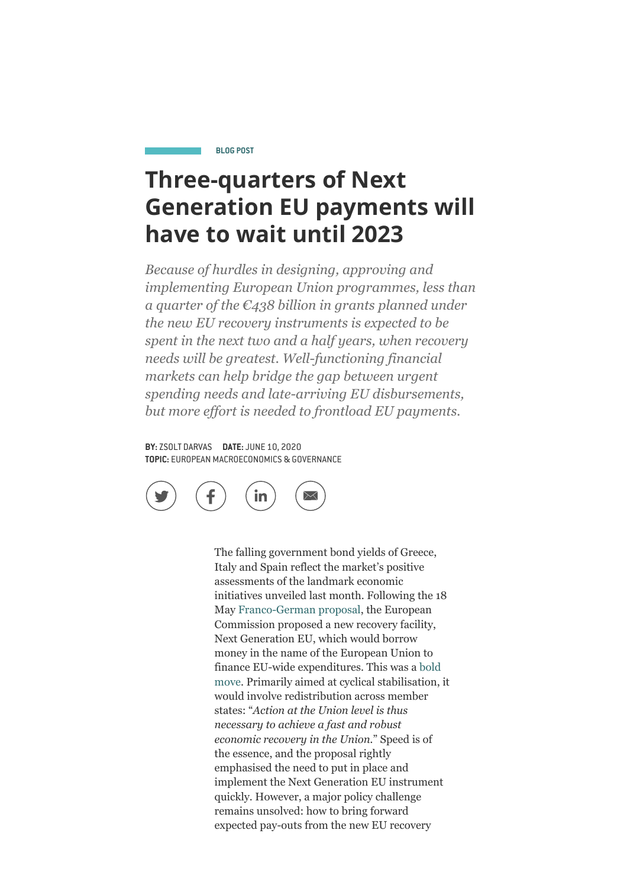#### **BLOG POST**

# **Three-quarters of Next Generation EU payments will have to wait until 2023**

*Because of hurdles in designing, approving and implementing European Union programmes, less than a quarter of the €438 billion in grants planned under the new EU recovery instruments is expected to be spent in the next two and a half years, when recovery needs will be greatest. Well-functioning financial markets can help bridge the gap between urgent spending needs and late-arriving EU disbursements, but more effort is needed to frontload EU payments.*

**BY:** [ZSOLT DARVAS](https://www.bruegel.org/author/zsolt-darvas/) **DATE:** JUNE 10, 2020 **TOPIC:** EUROPEAN MACROECONOMICS & GOVERNANCE



The falling government bond yields of Greece, Italy and Spain reflect the market's positive assessments of the landmark economic initiatives unveiled last month. Following the 18 May [Franco-German proposal](https://www.bundesregierung.de/resource/blob/973812/1753772/414a4b5a1ca91d4f7146eeb2b39ee72b/2020-05-18-deutsch-franzoesischer-erklaerung-eng-data.pdf?download=1), the European Commission proposed a new recovery facility, Next Generation EU, which would borrow money in the name of the European Union to [finance EU-wide expenditures. This was a bold](https://www.bruegel.org/2020/05/new-eu-budget-proposal-the-uncompromised-compromise/) move. Primarily aimed at cyclical stabilisation, it would involve redistribution across member states: "*Action at the Union level is thus necessary to achieve a fast and robust economic recovery in the Union.*" Speed is of the essence, and the proposal rightly emphasised the need to put in place and implement the Next Generation EU instrument quickly. However, a major policy challenge remains unsolved: how to bring forward expected pay-outs from the new EU recovery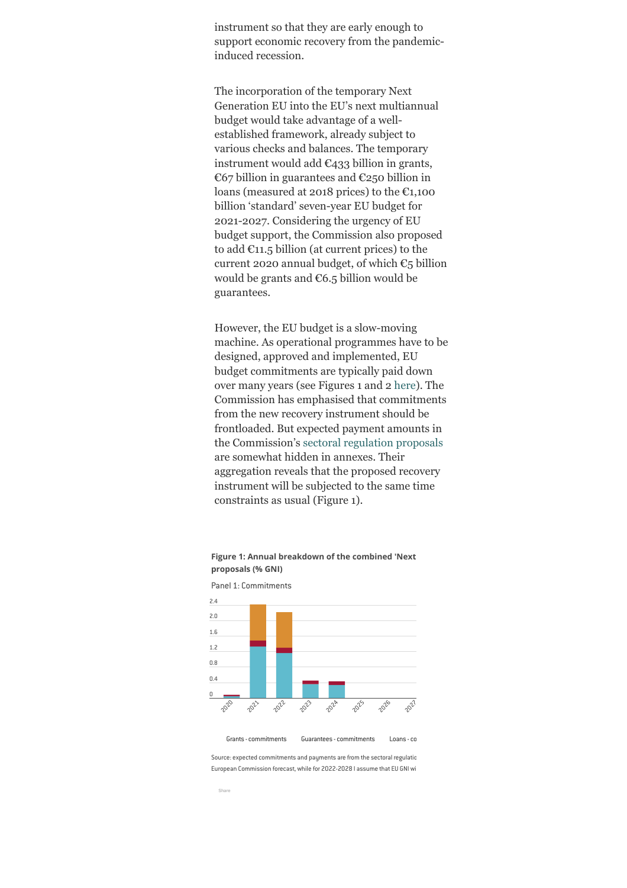instrument so that they are early enough to support economic recovery from the pandemicinduced recession.

The incorporation of the temporary Next Generation EU into the EU's next multiannual budget would take advantage of a wellestablished framework, already subject to various checks and balances. The temporary instrument would add  $\epsilon_{433}$  billion in grants, €67 billion in guarantees and €250 billion in loans (measured at 2018 prices) to the  $\epsilon_{1,100}$ billion 'standard' seven-year EU budget for 2021-2027. Considering the urgency of EU budget support, the Commission also proposed to add  $\epsilon$ 11.5 billion (at current prices) to the current 2020 annual budget, of which  $\epsilon_5$  billion would be grants and  $\epsilon$ 6.5 billion would be guarantees.

However, the EU budget is a slow-moving machine. As operational programmes have to be designed, approved and implemented, EU budget commitments are typically paid down over many years (see Figures 1 and 2 [here\)](https://www.bruegel.org/2017/03/divorce-settlement-or-leaving-the-club-a-breakdown-of-the-brexit-bill/). The Commission has emphasised that commitments from the new recovery instrument should be frontloaded. But expected payment amounts in the Commission's [sectoral regulation proposals](https://ec.europa.eu/info/publications/mff-2021-2027-sectoral-acts_en) are somewhat hidden in annexes. Their aggregation reveals that the proposed recovery instrument will be subjected to the same time constraints as usual (Figure 1).



Figure 1: Annual breakdown of the combined 'Next **proposals (% GNI)**

Source: expected commitments and payments are from the sectoral regulatio European Commission forecast, while for 2022-2028 I assume that EU GNI wi

Grants - commitments Guarantees - commitments Loans - commitments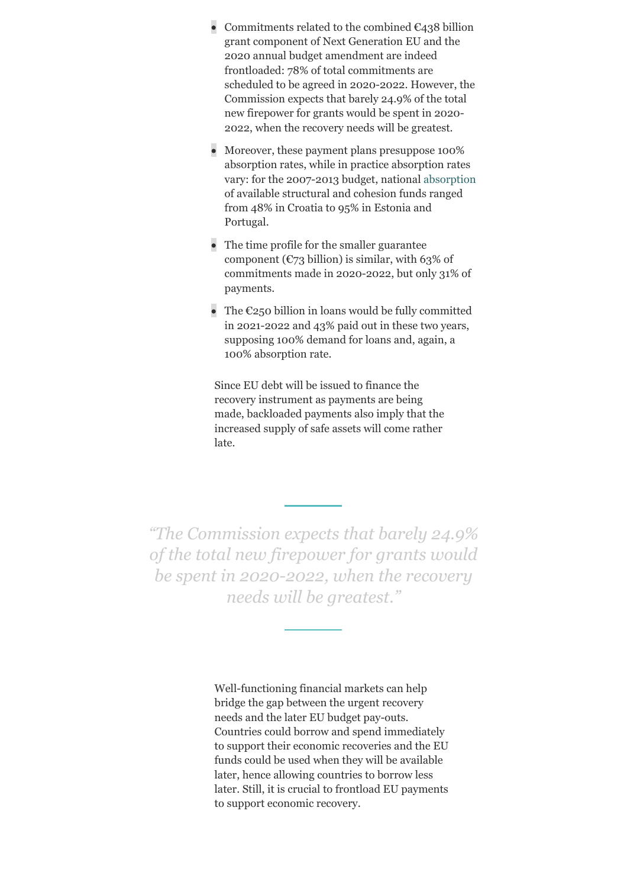- Commitments related to the combined  $\epsilon_{438}$  billion grant component of Next Generation EU and the 2020 annual budget amendment are indeed frontloaded: 78% of total commitments are scheduled to be agreed in 2020-2022. However, the Commission expects that barely 24.9% of the total new firepower for grants would be spent in 2020- 2022, when the recovery needs will be greatest.
- Moreover, these payment plans presuppose 100% absorption rates, while in practice absorption rates vary: for the 2007-2013 budget, national [absorption](https://epthinktank.eu/2015/09/02/cohesion-policy-implementation-in-the-eu28/fig3_funds/) of available structural and cohesion funds ranged from 48% in Croatia to 95% in Estonia and Portugal.
- The time profile for the smaller guarantee component ( $\mathbb{C}$ 73 billion) is similar, with 63% of commitments made in 2020-2022, but only 31% of payments.
- The  $\epsilon$ 250 billion in loans would be fully committed in 2021-2022 and 43% paid out in these two years, supposing 100% demand for loans and, again, a 100% absorption rate.

Since EU debt will be issued to finance the recovery instrument as payments are being made, backloaded payments also imply that the increased supply of safe assets will come rather late.

*"The Commission expects that barely 24.9% of the total new firepower for grants would be spent in 2020-2022, when the recovery needs will be greatest."*

> Well-functioning financial markets can help bridge the gap between the urgent recovery needs and the later EU budget pay-outs. Countries could borrow and spend immediately to support their economic recoveries and the EU funds could be used when they will be available later, hence allowing countries to borrow less later. Still, it is crucial to frontload EU payments to support economic recovery.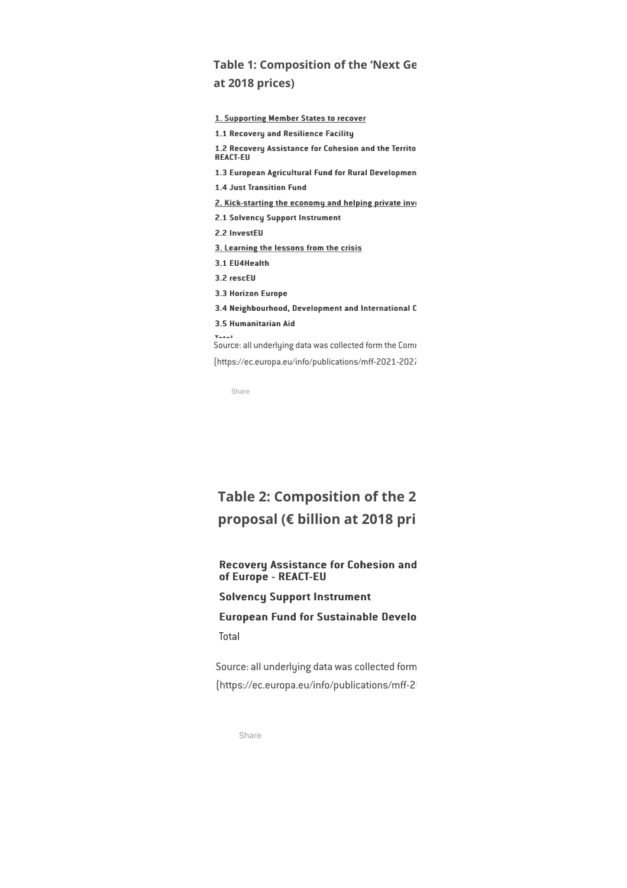## **Table 1: Composition of the 'Next Ge at 2018 prices)**

| 1. Supporting Member States to recover                                  |
|-------------------------------------------------------------------------|
| 1.1 Recovery and Resilience Facility                                    |
| 1.2 Recovery Assistance for Cohesion and the Territo<br><b>REACT-FU</b> |
| 1.3 European Agricultural Fund for Rural Developmen                     |
| <b>1.4 Just Transition Fund</b>                                         |
| 2. Kick-starting the economy and helping private inve                   |
| <b>2.1 Solvency Support Instrument</b>                                  |
| 2.2 InvestEU                                                            |
| 3. Learning the lessons from the crisis                                 |
| 3.1 EU4Health                                                           |
| 3.2 rescEU                                                              |
| 3.3 Horizon Europe                                                      |
| 3.4 Neighbourhood, Development and International C                      |
| <b>3.5 Humanitarian Aid</b>                                             |
| $T - 4 - 1$<br>Source: all underlying data was collected form the Comi  |
| [https://ec.europa.eu/info/publications/mff-2021-2021                   |

Share

# **Table 2: Composition of the 2 proposal (€** billion at 2018 pri

#### Recovery Assistance for Cohesion and of Europe - REACT-EU

### Solvency Support Instrument

### European Fund for Sustainable Develo **Total**

Source: all underlying data was collected form [https://ec.europa.eu/info/publications/mff-2<sup>1</sup>

Share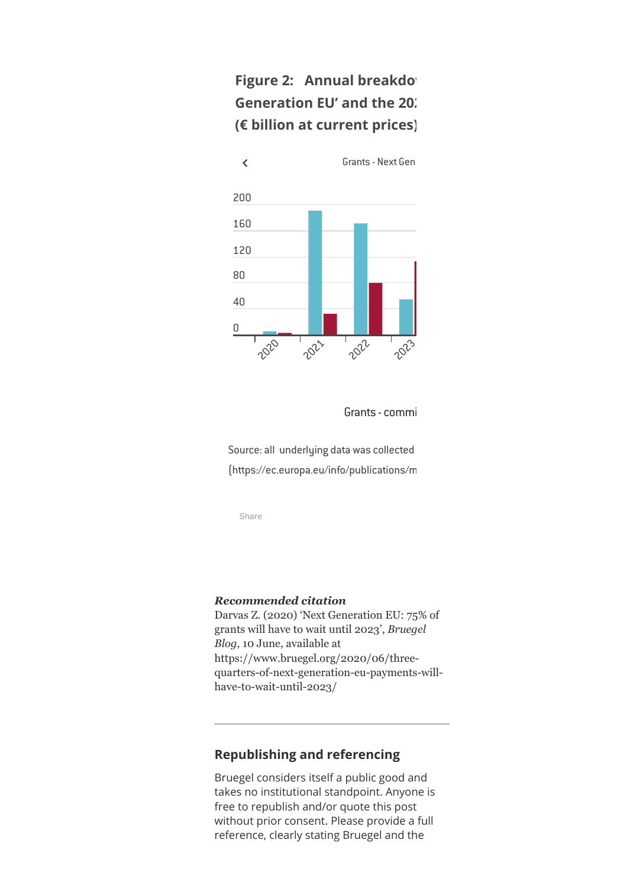# **Figure 2: Annual breakdow Generation EU' and the 20. (€ billion at current prices)**



Grants - commi

Source: all underlying data was collected  $[https://ec.europa.eu/info/publications/m]$ 

Share

#### *Recommended citation*

Darvas Z. (2020) 'Next Generation EU: 75% of grants will have to wait until 2023', *Bruegel Blog*, 10 June, available at https://www.bruegel.org/2020/06/threequarters-of-next-generation-eu-payments-willhave-to-wait-until-2023/

### **Republishing and referencing**

Bruegel considers itself a public good and takes no institutional standpoint. Anyone is free to republish and/or quote this post without prior consent. Please provide a full reference, clearly stating Bruegel and the